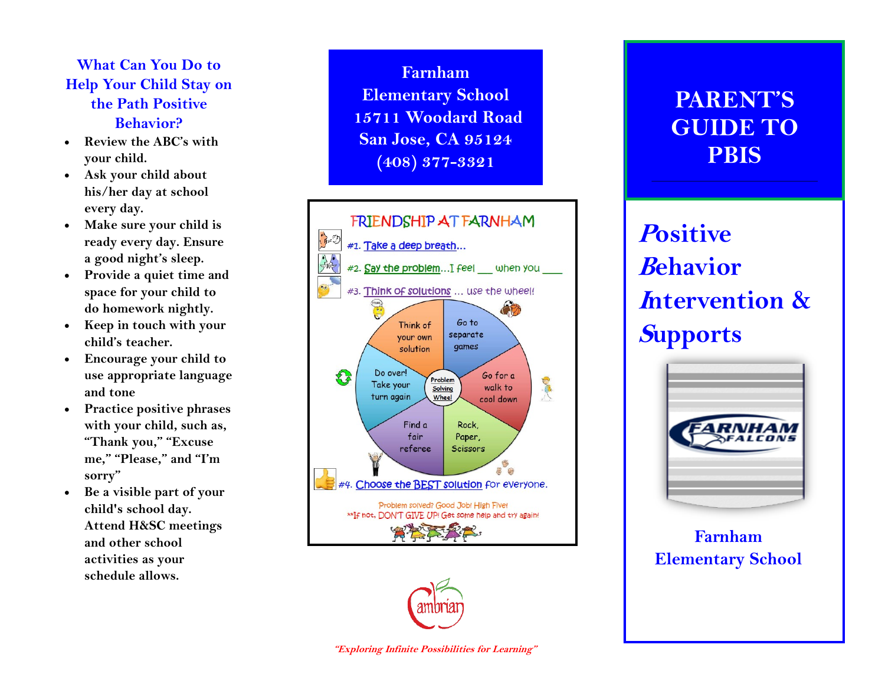#### **What Can You Do to Help Your Child Stay on the Path Positive Behavior?**

- **Review the ABC's with your child.**
- **Ask your child about his/her day at school every day.**
- **Make sure your child is ready every day. Ensure a good night's sleep.**
- **Provide a quiet time and space for your child to do homework nightly.**
- **Keep in touch with your child's teacher.**
- **Encourage your child to use appropriate language and tone**
- **Practice positive phrases with your child, such as, "Thank you," "Excuse me," "Please," and "I'm sorry"**
- **Be a visible part of your child's school day. Attend H&SC meetings and other school activities as your schedule allows.**

**Farnham Elementary School 15711 Woodard Road San Jose, CA 95124 (408) 377 -3321**



## **PARENT'S GUIDE TO PBIS**

# **<sup>P</sup>ositive <sup>B</sup>ehavior <sup>I</sup>ntervention & <sup>S</sup>upports**



### **Farnham Elementary School**